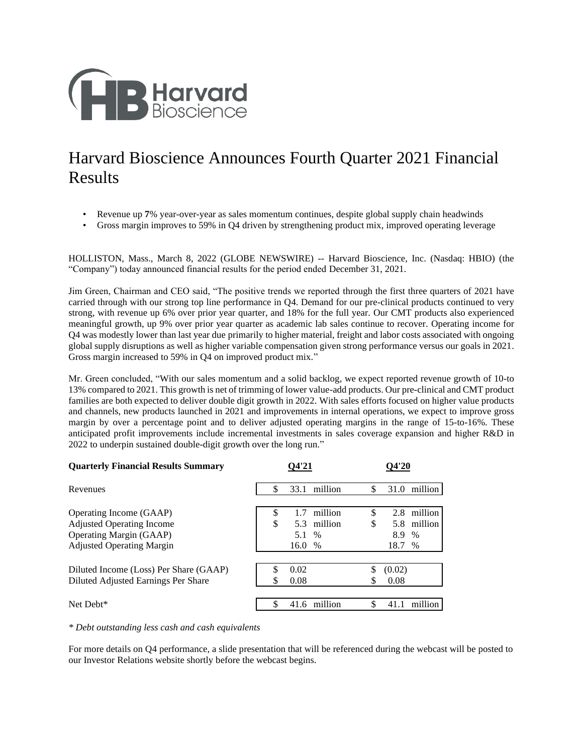

# Harvard Bioscience Announces Fourth Quarter 2021 Financial Results

- Revenue up **7**% year-over-year as sales momentum continues, despite global supply chain headwinds
- Gross margin improves to 59% in Q4 driven by strengthening product mix, improved operating leverage

HOLLISTON, Mass., March 8, 2022 (GLOBE NEWSWIRE) -- Harvard Bioscience, Inc. (Nasdaq: HBIO) (the "Company") today announced financial results for the period ended December 31, 2021.

Jim Green, Chairman and CEO said, "The positive trends we reported through the first three quarters of 2021 have carried through with our strong top line performance in Q4. Demand for our pre-clinical products continued to very strong, with revenue up 6% over prior year quarter, and 18% for the full year. Our CMT products also experienced meaningful growth, up 9% over prior year quarter as academic lab sales continue to recover. Operating income for Q4 was modestly lower than last year due primarily to higher material, freight and labor costs associated with ongoing global supply disruptions as well as higher variable compensation given strong performance versus our goals in 2021. Gross margin increased to 59% in Q4 on improved product mix."

Mr. Green concluded, "With our sales momentum and a solid backlog, we expect reported revenue growth of 10-to 13% compared to 2021. This growth is net of trimming of lower value-add products. Our pre-clinical and CMT product families are both expected to deliver double digit growth in 2022. With sales efforts focused on higher value products and channels, new products launched in 2021 and improvements in internal operations, we expect to improve gross margin by over a percentage point and to deliver adjusted operating margins in the range of 15-to-16%. These anticipated profit improvements include incremental investments in sales coverage expansion and higher R&D in 2022 to underpin sustained double-digit growth over the long run."

| <b>Quarterly Financial Results Summary</b> | <b>Q4'21</b>         | O4'20                |
|--------------------------------------------|----------------------|----------------------|
| Revenues                                   | million<br>33.1      | million<br>31.0      |
|                                            |                      |                      |
| Operating Income (GAAP)                    | million<br>1.7       | \$<br>million<br>2.8 |
| <b>Adjusted Operating Income</b>           | \$<br>5.3<br>million | \$<br>5.8<br>million |
| <b>Operating Margin (GAAP)</b>             | 5.1<br>$\%$          | 8.9<br>$\%$          |
| <b>Adjusted Operating Margin</b>           | 16.0<br>%            | 18.7<br>$\%$         |
| Diluted Income (Loss) Per Share (GAAP)     | S<br>0.02            | (0.02)               |
| Diluted Adjusted Earnings Per Share        | \$<br>0.08           | 0.08                 |
|                                            |                      |                      |
| Net Debt <sup>*</sup>                      | million<br>41.6      | million<br>41.1      |
|                                            |                      |                      |

*\* Debt outstanding less cash and cash equivalents*

For more details on Q4 performance, a slide presentation that will be referenced during the webcast will be posted to our Investor Relations website shortly before the webcast begins.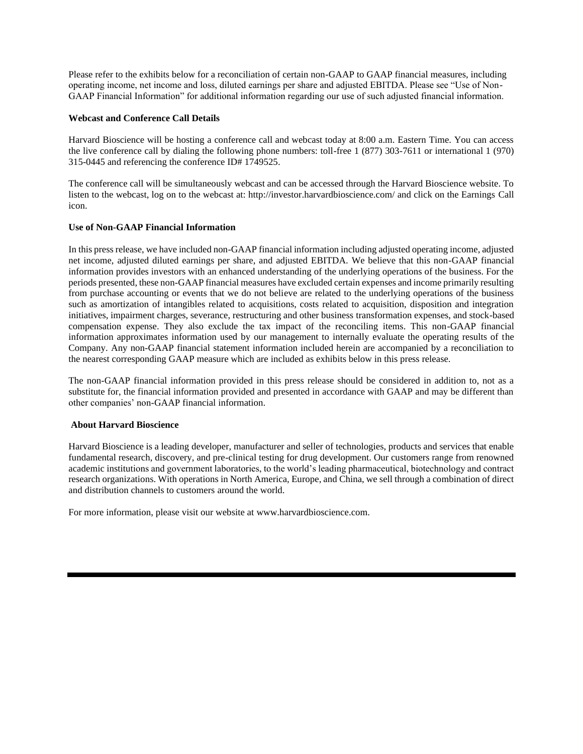Please refer to the exhibits below for a reconciliation of certain non-GAAP to GAAP financial measures, including operating income, net income and loss, diluted earnings per share and adjusted EBITDA. Please see "Use of Non-GAAP Financial Information" for additional information regarding our use of such adjusted financial information.

## **Webcast and Conference Call Details**

Harvard Bioscience will be hosting a conference call and webcast today at 8:00 a.m. Eastern Time. You can access the live conference call by dialing the following phone numbers: toll-free 1 (877) 303-7611 or international 1 (970) 315-0445 and referencing the conference ID# 1749525.

The conference call will be simultaneously webcast and can be accessed through the Harvard Bioscience website. To listen to the webcast, log on to the webcast at: http://investor.harvardbioscience.com/ and click on the Earnings Call icon.

## **Use of Non-GAAP Financial Information**

In this press release, we have included non-GAAP financial information including adjusted operating income, adjusted net income, adjusted diluted earnings per share, and adjusted EBITDA. We believe that this non-GAAP financial information provides investors with an enhanced understanding of the underlying operations of the business. For the periods presented, these non-GAAP financial measures have excluded certain expenses and income primarily resulting from purchase accounting or events that we do not believe are related to the underlying operations of the business such as amortization of intangibles related to acquisitions, costs related to acquisition, disposition and integration initiatives, impairment charges, severance, restructuring and other business transformation expenses, and stock-based compensation expense. They also exclude the tax impact of the reconciling items. This non-GAAP financial information approximates information used by our management to internally evaluate the operating results of the Company. Any non-GAAP financial statement information included herein are accompanied by a reconciliation to the nearest corresponding GAAP measure which are included as exhibits below in this press release.

The non-GAAP financial information provided in this press release should be considered in addition to, not as a substitute for, the financial information provided and presented in accordance with GAAP and may be different than other companies' non-GAAP financial information.

## **About Harvard Bioscience**

Harvard Bioscience is a leading developer, manufacturer and seller of technologies, products and services that enable fundamental research, discovery, and pre-clinical testing for drug development. Our customers range from renowned academic institutions and government laboratories, to the world's leading pharmaceutical, biotechnology and contract research organizations. With operations in North America, Europe, and China, we sell through a combination of direct and distribution channels to customers around the world.

For more information, please visit our website at www.harvardbioscience.com.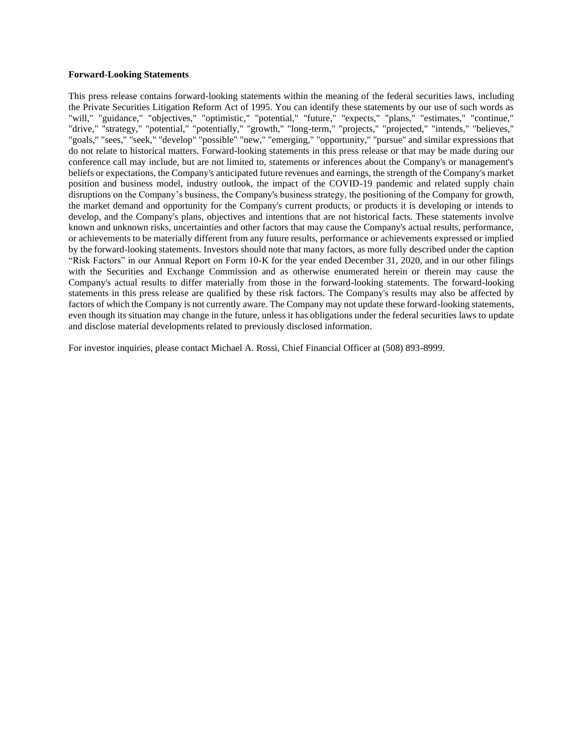#### **Forward-Looking Statements**

This press release contains forward-looking statements within the meaning of the federal securities laws, including the Private Securities Litigation Reform Act of 1995. You can identify these statements by our use of such words as "will," "guidance," "objectives," "optimistic," "potential," "future," "expects," "plans," "estimates," "continue," "drive," "strategy," "potential," "potentially," "growth," "long-term," "projects," "projected," "intends," "believes," "goals," "sees," "seek," "develop" "possible" "new," "emerging," "opportunity," "pursue" and similar expressions that do not relate to historical matters. Forward-looking statements in this press release or that may be made during our conference call may include, but are not limited to, statements or inferences about the Company's or management's beliefs or expectations, the Company's anticipated future revenues and earnings, the strength of the Company's market position and business model, industry outlook, the impact of the COVID-19 pandemic and related supply chain disruptions on the Company's business, the Company's business strategy, the positioning of the Company for growth, the market demand and opportunity for the Company's current products, or products it is developing or intends to develop, and the Company's plans, objectives and intentions that are not historical facts. These statements involve known and unknown risks, uncertainties and other factors that may cause the Company's actual results, performance, or achievements to be materially different from any future results, performance or achievements expressed or implied by the forward-looking statements. Investors should note that many factors, as more fully described under the caption "Risk Factors" in our Annual Report on Form 10-K for the year ended December 31, 2020, and in our other filings with the Securities and Exchange Commission and as otherwise enumerated herein or therein may cause the Company's actual results to differ materially from those in the forward-looking statements. The forward-looking statements in this press release are qualified by these risk factors. The Company's results may also be affected by factors of which the Company is not currently aware. The Company may not update these forward-looking statements, even though its situation may change in the future, unless it has obligations under the federal securities laws to update and disclose material developments related to previously disclosed information.

For investor inquiries, please contact Michael A. Rossi, Chief Financial Officer at (508) 893-8999.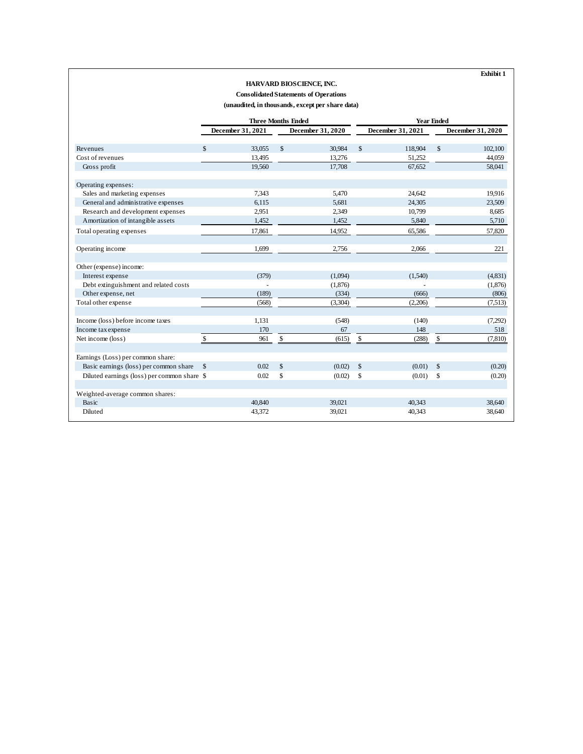## **HARVARD BIOSCIENCE, INC.**

## **Consolidated Statements of Operations**

#### **(unaudited, in thousands, except per share data)**

|                                             | <b>Three Months Ended</b> |        |              |                   |                   | <b>Year Ended</b> |              |                   |  |  |  |  |
|---------------------------------------------|---------------------------|--------|--------------|-------------------|-------------------|-------------------|--------------|-------------------|--|--|--|--|
|                                             | December 31, 2021         |        |              | December 31, 2020 | December 31, 2021 |                   |              | December 31, 2020 |  |  |  |  |
| Revenues                                    | \$                        | 33,055 | $\mathbb{S}$ | 30,984            | $\mathcal{S}$     | 118,904           | $\mathbb{S}$ | 102,100           |  |  |  |  |
| Cost of revenues                            |                           | 13,495 |              | 13,276            |                   | 51,252            |              | 44,059            |  |  |  |  |
| Gross profit                                |                           | 19,560 |              | 17,708            |                   | 67,652            |              | 58,041            |  |  |  |  |
| Operating expenses:                         |                           |        |              |                   |                   |                   |              |                   |  |  |  |  |
| Sales and marketing expenses                |                           | 7,343  |              | 5.470             |                   | 24.642            |              | 19,916            |  |  |  |  |
| General and administrative expenses         |                           | 6,115  |              | 5.681             |                   | 24,305            |              | 23,509            |  |  |  |  |
| Research and development expenses           |                           | 2,951  |              | 2,349             |                   | 10,799            |              | 8,685             |  |  |  |  |
| Amortization of intangible assets           |                           | 1,452  |              | 1,452             |                   | 5,840             |              | 5,710             |  |  |  |  |
| Total operating expenses                    |                           | 17.861 |              | 14.952            |                   | 65.586            |              | 57,820            |  |  |  |  |
| Operating income                            |                           | 1,699  |              | 2,756             |                   | 2,066             |              | 221               |  |  |  |  |
| Other (expense) income:                     |                           |        |              |                   |                   |                   |              |                   |  |  |  |  |
| Interest expense                            |                           | (379)  |              | (1,094)           |                   | (1,540)           |              | (4,831)           |  |  |  |  |
| Debt extinguishment and related costs       |                           |        |              | (1,876)           |                   |                   |              | (1,876)           |  |  |  |  |
| Other expense, net                          |                           | (189)  |              | (334)             |                   | (666)             |              | (806)             |  |  |  |  |
| Total other expense                         |                           | (568)  |              | (3,304)           |                   | (2,206)           |              | (7,513)           |  |  |  |  |
| Income (loss) before income taxes           |                           | 1,131  |              | (548)             |                   | (140)             |              | (7,292)           |  |  |  |  |
| Income tax expense                          |                           | 170    |              | 67                |                   | 148               |              | 518               |  |  |  |  |
| Net income (loss)                           | $\mathbb{S}$              | 961    | \$           | (615)             | \$                | (288)             | \$           | (7, 810)          |  |  |  |  |
| Earnings (Loss) per common share:           |                           |        |              |                   |                   |                   |              |                   |  |  |  |  |
| Basic earnings (loss) per common share      | $\mathcal{S}$             | 0.02   | $\mathbb{S}$ | (0.02)            | $\mathbb{S}$      | (0.01)            | $\mathbb{S}$ | (0.20)            |  |  |  |  |
| Diluted earnings (loss) per common share \$ |                           | 0.02   | \$           | (0.02)            | $\$$              | (0.01)            | \$           | (0.20)            |  |  |  |  |
| Weighted-average common shares:             |                           |        |              |                   |                   |                   |              |                   |  |  |  |  |
| Basic                                       |                           | 40,840 |              | 39,021            |                   | 40,343            |              | 38,640            |  |  |  |  |
| Diluted                                     |                           | 43,372 |              | 39,021            |                   | 40,343            |              | 38,640            |  |  |  |  |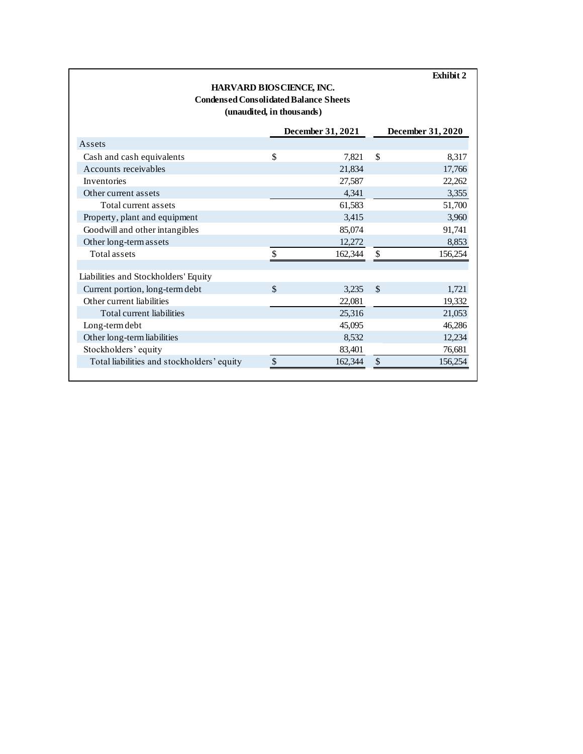|                                                                                                       |               |                   |    | <b>Exhibit 2</b>  |  |  |  |  |  |  |  |
|-------------------------------------------------------------------------------------------------------|---------------|-------------------|----|-------------------|--|--|--|--|--|--|--|
| HARVARD BIOSCIENCE, INC.<br><b>Condensed Consolidated Balance Sheets</b><br>(unaudited, in thousands) |               |                   |    |                   |  |  |  |  |  |  |  |
|                                                                                                       |               | December 31, 2021 |    | December 31, 2020 |  |  |  |  |  |  |  |
| Assets                                                                                                |               |                   |    |                   |  |  |  |  |  |  |  |
| Cash and cash equivalents                                                                             | \$            | 7,821             | \$ | 8,317             |  |  |  |  |  |  |  |
| Accounts receivables                                                                                  |               | 21.834            |    | 17,766            |  |  |  |  |  |  |  |
| Inventories                                                                                           |               | 27,587            |    | 22,262            |  |  |  |  |  |  |  |
| Other current assets                                                                                  |               | 4,341             |    | 3,355             |  |  |  |  |  |  |  |
| Total current assets                                                                                  |               | 61,583            |    | 51,700            |  |  |  |  |  |  |  |
| Property, plant and equipment                                                                         |               | 3,415             |    | 3,960             |  |  |  |  |  |  |  |
| Goodwill and other intangibles                                                                        |               | 85,074            |    | 91,741            |  |  |  |  |  |  |  |
| Other long-term assets                                                                                |               | 12,272            |    | 8,853             |  |  |  |  |  |  |  |
| <b>Total assets</b>                                                                                   | \$            | 162,344           | \$ | 156,254           |  |  |  |  |  |  |  |
|                                                                                                       |               |                   |    |                   |  |  |  |  |  |  |  |
| Liabilities and Stockholders' Equity                                                                  |               |                   |    |                   |  |  |  |  |  |  |  |
| Current portion, long-term debt                                                                       | $\mathcal{S}$ | 3,235             | \$ | 1,721             |  |  |  |  |  |  |  |
| Other current liabilities                                                                             |               | 22,081            |    | 19,332            |  |  |  |  |  |  |  |
| Total current liabilities                                                                             |               | 25,316            |    | 21,053            |  |  |  |  |  |  |  |
| Long-term debt                                                                                        |               | 45,095            |    | 46,286            |  |  |  |  |  |  |  |
| Other long-term liabilities                                                                           |               | 8,532             |    | 12,234            |  |  |  |  |  |  |  |
| Stockholders' equity                                                                                  |               | 83,401            |    | 76,681            |  |  |  |  |  |  |  |
| Total liabilities and stockholders' equity                                                            | \$            | 162,344           | \$ | 156,254           |  |  |  |  |  |  |  |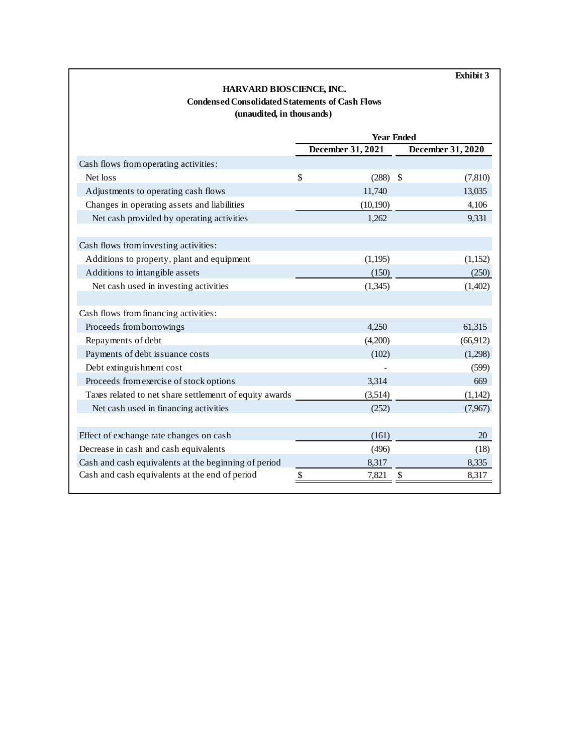# **HARVARD BIOSCIENCE, INC.**

# **Condensed Consolidated Statements of Cash Flows (unaudited, in thousands)**

|                                                         | <b>Year Ended</b> |                   |                   |  |  |  |
|---------------------------------------------------------|-------------------|-------------------|-------------------|--|--|--|
|                                                         |                   | December 31, 2021 | December 31, 2020 |  |  |  |
| Cash flows from operating activities:                   |                   |                   |                   |  |  |  |
| Net loss                                                | \$                | (288)             | (7, 810)<br>- \$  |  |  |  |
| Adjustments to operating cash flows                     |                   | 11,740            | 13,035            |  |  |  |
| Changes in operating assets and liabilities             |                   | (10, 190)         | 4,106             |  |  |  |
| Net cash provided by operating activities               |                   | 1,262             | 9,331             |  |  |  |
| Cash flows from investing activities:                   |                   |                   |                   |  |  |  |
| Additions to property, plant and equipment              |                   | (1,195)           | (1,152)           |  |  |  |
| Additions to intangible assets                          |                   | (150)             | (250)             |  |  |  |
| Net cash used in investing activities                   |                   | (1,345)           | (1,402)           |  |  |  |
|                                                         |                   |                   |                   |  |  |  |
| Cash flows from financing activities:                   |                   |                   |                   |  |  |  |
| Proceeds from borrowings                                |                   | 4,250             | 61,315            |  |  |  |
| Repayments of debt                                      |                   | (4,200)           | (66,912)          |  |  |  |
| Payments of debt issuance costs                         |                   | (102)             | (1,298)           |  |  |  |
| Debt extinguishment cost                                |                   |                   | (599)             |  |  |  |
| Proceeds from exercise of stock options                 |                   | 3,314             | 669               |  |  |  |
| Taxes related to net share settlemenrt of equity awards |                   | (3,514)           | (1,142)           |  |  |  |
| Net cash used in financing activities                   |                   | (252)             | (7,967)           |  |  |  |
| Effect of exchange rate changes on cash                 |                   | (161)             | 20                |  |  |  |
| Decrease in cash and cash equivalents                   |                   | (496)             | (18)              |  |  |  |
| Cash and cash equivalents at the beginning of period    |                   | 8,317             | 8,335             |  |  |  |
| Cash and cash equivalents at the end of period          | \$                | 7,821             | 8,317<br>S        |  |  |  |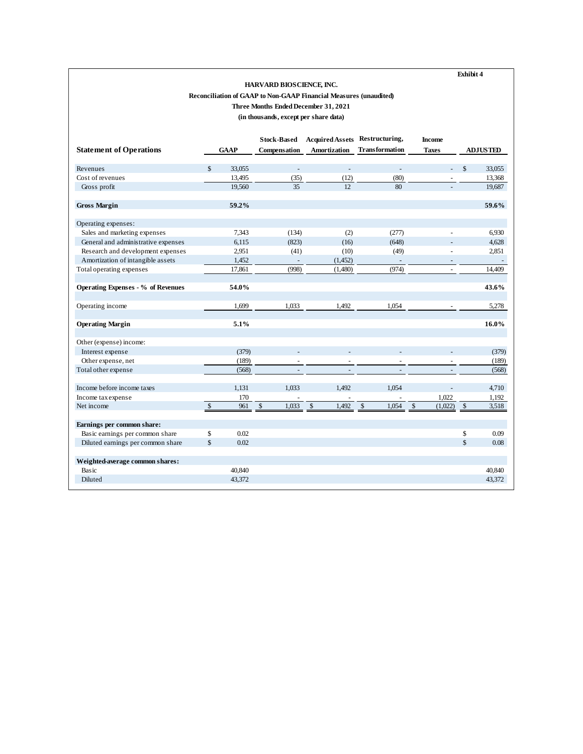## **HARVARD BIOSCIENCE, INC. Reconciliation of GAAP to Non-GAAP Financial Measures (unaudited) Three Months Ended December 31, 2021 (in thousands, except per share data)**

| <b>Statement of Operations</b>            |                    | <b>GAAP</b> | <b>Stock-Based</b><br>Compensation | <b>Acquired Assets</b><br><b>Amortization</b> | Restructuring,<br><b>Transformation</b> | <b>Income</b><br><b>Taxes</b> |                          | <b>ADJUSTED</b> |
|-------------------------------------------|--------------------|-------------|------------------------------------|-----------------------------------------------|-----------------------------------------|-------------------------------|--------------------------|-----------------|
|                                           |                    |             |                                    |                                               |                                         |                               |                          |                 |
| Revenues                                  | \$                 | 33,055      |                                    |                                               |                                         | $\mathcal{L}$                 | $\mathsf{\$}$            | 33,055          |
| Cost of revenues                          |                    | 13,495      | (35)                               | (12)                                          | (80)                                    |                               |                          | 13,368          |
| Gross profit                              |                    | 19,560      | 35                                 | 12                                            | 80                                      | $\sim$                        |                          | 19,687          |
| <b>Gross Margin</b>                       |                    | 59.2%       |                                    |                                               |                                         |                               |                          | 59.6%           |
| Operating expenses:                       |                    |             |                                    |                                               |                                         |                               |                          |                 |
| Sales and marketing expenses              |                    | 7,343       | (134)                              | (2)                                           | (277)                                   | ÷,                            |                          | 6,930           |
| General and administrative expenses       |                    | 6,115       | (823)                              | (16)                                          | (648)                                   |                               |                          | 4,628           |
| Research and development expenses         |                    | 2,951       | (41)                               | (10)                                          | (49)                                    |                               |                          | 2,851           |
| Amortization of intangible assets         |                    | 1,452       |                                    | (1,452)                                       |                                         |                               |                          |                 |
| Total operating expenses                  |                    | 17,861      | (998)                              | (1,480)                                       | (974)                                   |                               |                          | 14,409          |
| <b>Operating Expenses - % of Revenues</b> |                    | 54.0%       |                                    |                                               |                                         |                               |                          | 43.6%           |
| Operating income                          |                    | 1,699       | 1.033                              | 1,492                                         | 1,054                                   |                               |                          | 5,278           |
| <b>Operating Margin</b>                   |                    | 5.1%        |                                    |                                               |                                         |                               |                          | $16.0\%$        |
| Other (expense) income:                   |                    |             |                                    |                                               |                                         |                               |                          |                 |
| Interest expense                          |                    | (379)       | $\overline{a}$                     | $\overline{a}$                                | $\overline{a}$                          | $\sim$                        |                          | (379)           |
| Other expense, net                        |                    | (189)       |                                    |                                               |                                         |                               |                          | (189)           |
| Total other expense                       |                    | (568)       |                                    |                                               |                                         |                               |                          | (568)           |
| Income before income taxes                |                    | 1,131       | 1,033                              | 1,492                                         | 1,054                                   |                               |                          | 4,710           |
| Income tax expense                        |                    | 170         |                                    |                                               |                                         | 1,022                         |                          | 1,192           |
| Net income                                | $\mathcal{S}$      | 961         | $\overline{\mathcal{S}}$<br>1,033  | $\sqrt{3}$<br>1,492                           | \$<br>1,054                             | $\sqrt{S}$<br>(1,022)         | $\overline{\mathcal{S}}$ | 3,518           |
| Earnings per common share:                |                    |             |                                    |                                               |                                         |                               |                          |                 |
| Basic earnings per common share           | \$                 | 0.02        |                                    |                                               |                                         |                               | \$                       | 0.09            |
| Diluted earnings per common share         | $\mathbf{\hat{S}}$ | 0.02        |                                    |                                               |                                         |                               | $\mathbf{\hat{S}}$       | 0.08            |
| Weighted-average common shares:           |                    |             |                                    |                                               |                                         |                               |                          |                 |
| Basic                                     |                    | 40,840      |                                    |                                               |                                         |                               |                          | 40,840          |
| Diluted                                   |                    | 43,372      |                                    |                                               |                                         |                               |                          | 43,372          |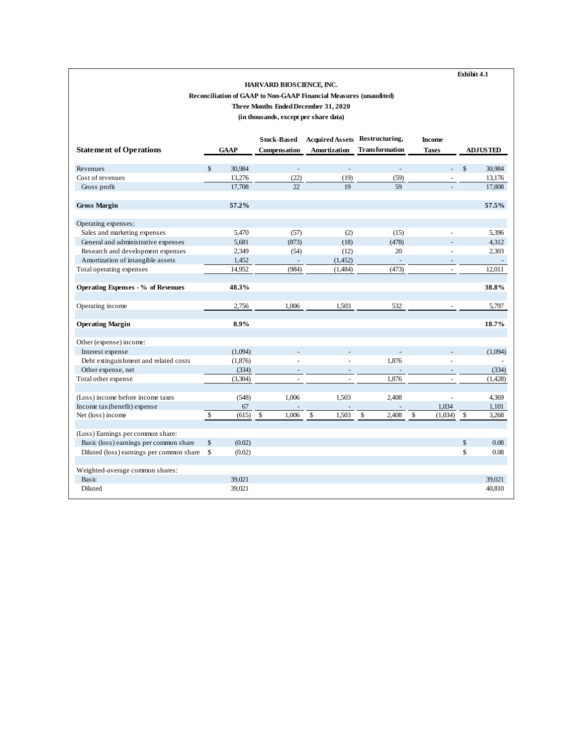**Exhibit 4.1**

## **HARVARD BIOSCIENCE, INC. Reconciliation of GAAP to Non-GAAP Financial Measures (unaudited) Three Months Ended December 31, 2020**

**(in thousands, except per share data)**

| <b>Statement of Operations</b>            |               | <b>GAAP</b> | <b>Stock-Based</b><br>Compensation | <b>Acquired Assets</b><br>Amortization | Restructuring,<br><b>Transformation</b> | <b>Income</b><br><b>Taxes</b> |                         | <b>ADJUSTED</b> |
|-------------------------------------------|---------------|-------------|------------------------------------|----------------------------------------|-----------------------------------------|-------------------------------|-------------------------|-----------------|
|                                           |               |             |                                    |                                        |                                         |                               |                         |                 |
| Revenues                                  | $\mathsf{\$}$ | 30,984      | $\overline{\phantom{a}}$           | $\overline{\phantom{a}}$               | $\blacksquare$                          | L.                            | $\mathsf{\$}$           | 30,984          |
| Cost of revenues                          |               | 13,276      | (22)                               | (19)                                   | (59)                                    |                               |                         | 13,176          |
| Gross profit                              |               | 17,708      | 22                                 | 19                                     | 59                                      |                               |                         | 17,808          |
| <b>Gross Margin</b>                       |               | 57.2%       |                                    |                                        |                                         |                               |                         | 57.5%           |
| Operating expenses:                       |               |             |                                    |                                        |                                         |                               |                         |                 |
| Sales and marketing expenses              |               | 5,470       | (57)                               | (2)                                    | (15)                                    |                               |                         | 5,396           |
| General and administrative expenses       |               | 5,681       | (873)                              | (18)                                   | (478)                                   |                               |                         | 4,312           |
| Research and development expenses         |               | 2,349       | (54)                               | (12)                                   | 20                                      | $\overline{a}$                |                         | 2,303           |
| Amortization of intangible assets         |               | 1,452       | $\Box$                             | (1,452)                                | $\overline{\phantom{a}}$                | $\overline{\phantom{a}}$      |                         | $\omega$        |
| Total operating expenses                  |               | 14,952      | (984)                              | (1,484)                                | (473)                                   | $\overline{\phantom{a}}$      |                         | 12,011          |
|                                           |               |             |                                    |                                        |                                         |                               |                         |                 |
| <b>Operating Expenses - % of Revenues</b> |               | 48.3%       |                                    |                                        |                                         |                               |                         | 38.8%           |
| Operating income                          |               | 2,756       | 1,006                              | 1,503                                  | 532                                     |                               |                         | 5,797           |
|                                           |               |             |                                    |                                        |                                         |                               |                         |                 |
| <b>Operating Margin</b>                   |               | 8.9%        |                                    |                                        |                                         |                               |                         | 18.7%           |
| Other (expense) income:                   |               |             |                                    |                                        |                                         |                               |                         |                 |
| Interest expense                          |               | (1,094)     |                                    |                                        |                                         |                               |                         | (1,094)         |
| Debt extinguishment and related costs     |               | (1,876)     |                                    |                                        | 1,876                                   |                               |                         |                 |
| Other expense, net                        |               | (334)       |                                    |                                        |                                         |                               |                         | (334)           |
| Total other expense                       |               | (3,304)     |                                    | ÷.                                     | 1,876                                   |                               |                         | (1,428)         |
| (Loss) income before income taxes         |               | (548)       | 1,006                              | 1,503                                  | 2,408                                   | L,                            |                         | 4,369           |
| Income tax (benefit) expense              |               | 67          |                                    |                                        |                                         | 1,034                         |                         | 1,101           |
| Net (loss) income                         | \$            | (615)       | $\sqrt{3}$<br>1,006                | \$<br>1,503                            | $\mathbb{S}$<br>2,408                   | $\sqrt{S}$<br>(1,034)         | $\sqrt[6]{\frac{1}{2}}$ | 3,268           |
| (Loss) Earnings per common share:         |               |             |                                    |                                        |                                         |                               |                         |                 |
| Basic (loss) earnings per common share    | $\mathbb{S}$  | (0.02)      |                                    |                                        |                                         |                               | $\mathcal{S}$           | 0.08            |
| Diluted (loss) earnings per common share  | \$            | (0.02)      |                                    |                                        |                                         |                               | \$                      | 0.08            |
|                                           |               |             |                                    |                                        |                                         |                               |                         |                 |
| Weighted-average common shares:           |               |             |                                    |                                        |                                         |                               |                         |                 |
| Basic                                     |               | 39,021      |                                    |                                        |                                         |                               |                         | 39,021          |
| Diluted                                   |               | 39,021      |                                    |                                        |                                         |                               |                         | 40,810          |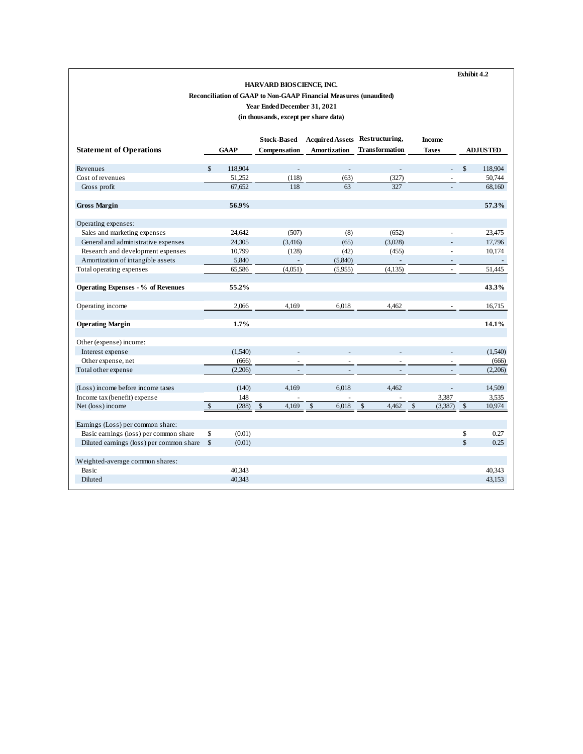**Exhibit 4.2**

## **HARVARD BIOSCIENCE, INC. Reconciliation of GAAP to Non-GAAP Financial Measures (unaudited) Year Ended December 31, 2021 (in thousands, except per share data)**

|                                                                   |               |              | <b>Stock-Based</b> | Acquired Assets Restructuring, |                          | <b>Income</b>              |                    |                          |
|-------------------------------------------------------------------|---------------|--------------|--------------------|--------------------------------|--------------------------|----------------------------|--------------------|--------------------------|
| <b>Statement of Operations</b>                                    |               | <b>GAAP</b>  | Compensation       | <b>Amortization</b>            | <b>Transformation</b>    | <b>Taxes</b>               |                    | <b>ADJUSTED</b>          |
| Revenues                                                          | \$            | 118,904      | $\Box$             | $\blacksquare$                 | $\sim$                   | $\mathcal{L}^{\text{max}}$ | $\mathsf{\$}$      | 118,904                  |
| Cost of revenues                                                  |               | 51,252       | (118)              | (63)                           | (327)                    |                            |                    | 50,744                   |
| Gross profit                                                      |               | 67,652       | 118                | 63                             | 327                      |                            |                    | 68,160                   |
|                                                                   |               |              |                    |                                |                          |                            |                    |                          |
| <b>Gross Margin</b>                                               |               | 56.9%        |                    |                                |                          |                            |                    | 57.3%                    |
| Operating expenses:                                               |               |              |                    |                                |                          |                            |                    |                          |
| Sales and marketing expenses                                      |               | 24,642       | (507)              | (8)                            | (652)                    |                            |                    | 23,475                   |
| General and administrative expenses                               |               | 24,305       | (3,416)            | (65)                           | (3,028)                  |                            |                    | 17,796                   |
| Research and development expenses                                 |               | 10,799       | (128)              | (42)                           | (455)                    | $\sim$                     |                    | 10,174                   |
| Amortization of intangible assets                                 |               | 5,840        | $\blacksquare$     | (5,840)                        | $\overline{\phantom{a}}$ | $\overline{\phantom{a}}$   |                    | $\overline{\phantom{a}}$ |
| Total operating expenses                                          |               | 65,586       | (4,051)            | (5,955)                        | (4, 135)                 | $\blacksquare$             |                    | 51,445                   |
| <b>Operating Expenses - % of Revenues</b>                         |               | 55.2%        |                    |                                |                          |                            |                    | 43.3%                    |
|                                                                   |               |              |                    |                                |                          |                            |                    |                          |
| Operating income                                                  |               | 2,066        | 4,169              | 6,018                          | 4,462                    |                            |                    | 16,715                   |
| <b>Operating Margin</b>                                           |               | 1.7%         |                    |                                |                          |                            |                    | 14.1%                    |
| Other (expense) income:                                           |               |              |                    |                                |                          |                            |                    |                          |
| Interest expense                                                  |               | (1,540)      | $\overline{a}$     |                                |                          |                            |                    | (1,540)                  |
| Other expense, net                                                |               | (666)        |                    |                                |                          |                            |                    | (666)                    |
| Total other expense                                               |               | (2,206)      |                    |                                |                          |                            |                    | (2,206)                  |
|                                                                   |               |              | 4,169              | 6,018                          |                          |                            |                    |                          |
| (Loss) income before income taxes<br>Income tax (benefit) expense |               | (140)<br>148 |                    |                                | 4,462                    | 3,387                      |                    | 14,509<br>3,535          |
| Net (loss) income                                                 | $\sqrt{2}$    | $(288)$ \$   | 4,169              | $\sqrt{3}$<br>6,018            | \$<br>4,462              | $\sqrt{3}$<br>$(3,387)$ \$ |                    | 10,974                   |
|                                                                   |               |              |                    |                                |                          |                            |                    |                          |
| Earnings (Loss) per common share:                                 |               |              |                    |                                |                          |                            |                    |                          |
| Basic earnings (loss) per common share                            | \$            | (0.01)       |                    |                                |                          |                            | \$                 | 0.27                     |
| Diluted earnings (loss) per common share                          | $\mathcal{S}$ | (0.01)       |                    |                                |                          |                            | $\mathbf{\hat{S}}$ | 0.25                     |
| Weighted-average common shares:                                   |               |              |                    |                                |                          |                            |                    |                          |
| Basic                                                             |               | 40,343       |                    |                                |                          |                            |                    | 40,343                   |
| Diluted                                                           |               | 40.343       |                    |                                |                          |                            |                    | 43,153                   |
|                                                                   |               |              |                    |                                |                          |                            |                    |                          |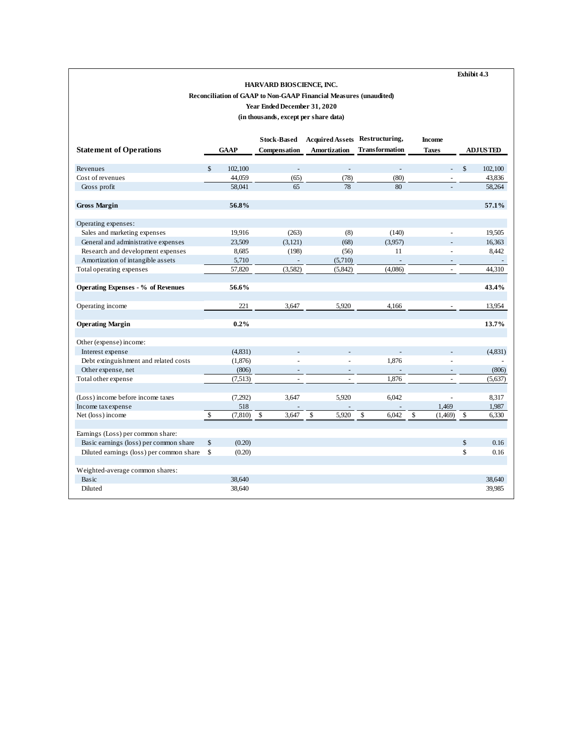**Exhibit 4.3**

## **HARVARD BIOSCIENCE, INC.**

## **Reconciliation of GAAP to Non-GAAP Financial Measures (unaudited)**

**Year Ended December 31, 2020**

**(in thousands, except per share data)**

|                                           |               |             | <b>Stock-Based</b>       | <b>Acquired Assets</b>   | Restructuring,        | <b>Income</b>            |               |                 |
|-------------------------------------------|---------------|-------------|--------------------------|--------------------------|-----------------------|--------------------------|---------------|-----------------|
| <b>Statement of Operations</b>            |               | <b>GAAP</b> | Compensation             | <b>Amortization</b>      | <b>Transformation</b> | <b>Taxes</b>             |               | <b>ADJUSTED</b> |
| Revenues                                  | $\mathsf{\$}$ | 102,100     |                          |                          |                       | $\overline{a}$           | $\mathsf{\$}$ | 102,100         |
| Cost of revenues                          |               | 44,059      | (65)                     | (78)                     | (80)                  |                          |               | 43,836          |
| Gross profit                              |               | 58,041      | 65                       | 78                       | 80                    |                          |               | 58,264          |
| <b>Gross Margin</b>                       |               | 56.8%       |                          |                          |                       |                          |               | 57.1%           |
| Operating expenses:                       |               |             |                          |                          |                       |                          |               |                 |
| Sales and marketing expenses              |               | 19,916      | (263)                    | (8)                      | (140)                 | L.                       |               | 19,505          |
| General and administrative expenses       |               | 23,509      | (3,121)                  | (68)                     | (3,957)               |                          |               | 16,363          |
| Research and development expenses         |               | 8,685       | (198)                    | (56)                     | 11                    | $\ddot{\phantom{1}}$     |               | 8,442           |
| Amortization of intangible assets         |               | 5,710       | $\blacksquare$           | (5,710)                  |                       | $\overline{\phantom{a}}$ |               |                 |
| Total operating expenses                  |               | 57,820      | (3,582)                  | (5, 842)                 | (4,086)               | L.                       |               | 44,310          |
| <b>Operating Expenses - % of Revenues</b> |               | 56.6%       |                          |                          |                       |                          |               | 43.4%           |
| Operating income                          |               | 221         | 3,647                    | 5,920                    | 4,166                 |                          |               | 13,954          |
| <b>Operating Margin</b>                   |               | 0.2%        |                          |                          |                       |                          |               | 13.7%           |
| Other (expense) income:                   |               |             |                          |                          |                       |                          |               |                 |
| Interest expense                          |               | (4,831)     | $\blacksquare$           | $\overline{\phantom{a}}$ |                       |                          |               | (4,831)         |
| Debt extinguishment and related costs     |               | (1,876)     |                          |                          | 1,876                 |                          |               |                 |
| Other expense, net                        |               | (806)       |                          |                          |                       |                          |               | (806)           |
| Total other expense                       |               | (7,513)     | $\overline{\phantom{a}}$ | $\overline{\phantom{a}}$ | 1,876                 | $\overline{\phantom{a}}$ |               | (5,637)         |
| (Loss) income before income taxes         |               | (7,292)     | 3,647                    | 5,920                    | 6,042                 | L.                       |               | 8.317           |
| Income tax expense                        |               | 518         |                          |                          |                       | 1,469                    |               | 1,987           |
| Net (loss) income                         | \$            | (7, 810)    | $\mathbb{S}$<br>3,647    | \$<br>5,920              | \$<br>6,042           | $\mathbb{S}$<br>(1,469)  | \$            | 6,330           |
| Earnings (Loss) per common share:         |               |             |                          |                          |                       |                          |               |                 |
| Basic earnings (loss) per common share    | \$            | (0.20)      |                          |                          |                       |                          | \$            | 0.16            |
| Diluted earnings (loss) per common share  | \$            | (0.20)      |                          |                          |                       |                          | \$            | 0.16            |
| Weighted-average common shares:           |               |             |                          |                          |                       |                          |               |                 |
| Basic                                     |               | 38.640      |                          |                          |                       |                          |               | 38,640          |
| Diluted                                   |               | 38,640      |                          |                          |                       |                          |               | 39,985          |